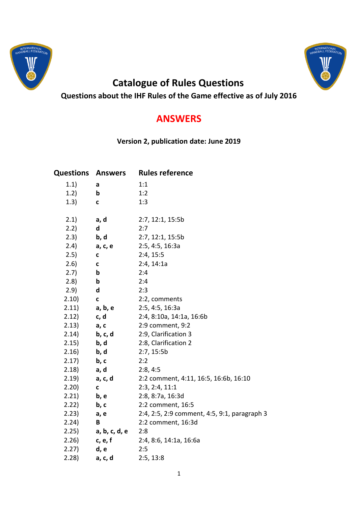



## **Catalogue of Rules Questions**

**Questions about the IHF Rules of the Game effective as of July 2016**

## **ANSWERS**

**Version 2, publication date: June 2019**

| <b>Questions</b> | <b>Answers</b> | <b>Rules reference</b>                       |
|------------------|----------------|----------------------------------------------|
| 1.1)             | a              | 1:1                                          |
| 1.2)             | b              | 1:2                                          |
| 1.3)             | C              | 1:3                                          |
|                  |                |                                              |
| 2.1)             | a, d           | 2:7, 12:1, 15:5b                             |
| 2.2)             | d              | 2:7                                          |
| 2.3)             | b, d           | 2:7, 12:1, 15:5b                             |
| 2.4)             | a, c, e        | 2:5, 4:5, 16:3a                              |
| 2.5)             | c              | 2:4, 15:5                                    |
| 2.6)             | $\mathbf c$    | 2:4, 14:1a                                   |
| 2.7)             | b              | 2:4                                          |
| 2.8)             | b              | 2:4                                          |
| 2.9)             | d              | 2:3                                          |
| 2.10)            | $\mathbf c$    | 2:2, comments                                |
| 2.11)            | a, b, e        | 2:5, 4:5, 16:3a                              |
| 2.12)            | c, d           | 2:4, 8:10a, 14:1a, 16:6b                     |
| 2.13)            | a, c           | 2:9 comment, 9:2                             |
| 2.14)            | b, c, d        | 2:9, Clarification 3                         |
| 2.15)            | b, d           | 2:8, Clarification 2                         |
| 2.16)            | b, d           | 2:7, 15:5b                                   |
| 2.17)            | b, c           | 2:2                                          |
| 2.18)            | a, d           | 2:8, 4:5                                     |
| 2.19)            | a, c, d        | 2:2 comment, 4:11, 16:5, 16:6b, 16:10        |
| 2.20)            | $\mathbf c$    | 2:3, 2:4, 11:1                               |
| 2.21)            | b, e           | 2:8, 8:7a, 16:3d                             |
| 2.22)            | b, c           | 2:2 comment, 16:5                            |
| 2.23)            | a, e           | 2:4, 2:5, 2:9 comment, 4:5, 9:1, paragraph 3 |
| 2.24)            | B              | 2:2 comment, 16:3d                           |
| 2.25)            | a, b, c, d, e  | 2:8                                          |
| 2.26)            | c, e, f        | 2:4, 8:6, 14:1a, 16:6a                       |
| 2.27)            | d, e           | 2:5                                          |
| 2.28)            | a, c, d        | 2:5, 13:8                                    |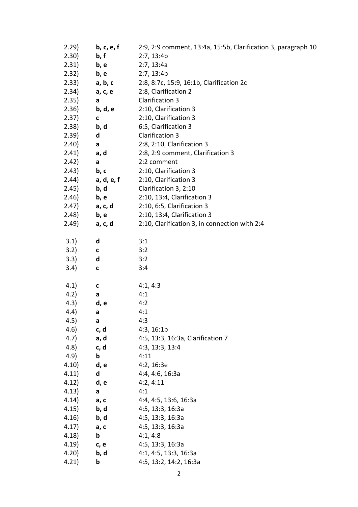| 2.29)  | b, c, e, f   | 2:9, 2:9 comment, 13:4a, 15:5b, Clarification 3, paragraph 10 |
|--------|--------------|---------------------------------------------------------------|
| 2.30)  | b, f         | 2:7, 13:4b                                                    |
| 2.31)  | b, e         | 2:7, 13:4a                                                    |
| 2.32)  | b, e         | 2:7, 13:4b                                                    |
| 2.33)  | a, b, c      | 2:8, 8:7c, 15:9, 16:1b, Clarification 2c                      |
| 2.34)  | a, c, e      | 2:8, Clarification 2                                          |
| 2.35)  | $\mathsf{a}$ | <b>Clarification 3</b>                                        |
| 2.36)  | b, d, e      | 2:10, Clarification 3                                         |
| 2.37)  | C            | 2:10, Clarification 3                                         |
| 2.38)  | b, d         | 6:5, Clarification 3                                          |
| 2.39)  | d            | <b>Clarification 3</b>                                        |
| 2.40)  | a            | 2:8, 2:10, Clarification 3                                    |
| 2.41)  | a, d         | 2:8, 2:9 comment, Clarification 3                             |
| 2.42)  | $\mathsf{a}$ | 2:2 comment                                                   |
| 2.43)  | b, c         | 2:10, Clarification 3                                         |
| (2.44) | a, d, e, f   | 2:10, Clarification 3                                         |
| 2.45)  | b, d         | Clarification 3, 2:10                                         |
| 2.46)  | b, e         | 2:10, 13:4, Clarification 3                                   |
| 2.47)  | a, c, d      | 2:10, 6:5, Clarification 3                                    |
| 2.48)  | b, e         | 2:10, 13:4, Clarification 3                                   |
| 2.49)  | a, c, d      | 2:10, Clarification 3, in connection with 2:4                 |
|        |              |                                                               |
| 3.1)   | d            | 3:1                                                           |
| 3.2)   | $\mathbf{C}$ | 3:2                                                           |
| 3.3)   | d            | 3:2                                                           |
| 3.4)   | $\mathbf{C}$ | 3:4                                                           |
|        |              |                                                               |
| 4.1)   | $\mathbf{C}$ | 4:1, 4:3                                                      |
| 4.2)   | a            | 4:1                                                           |
| 4.3)   | d, e         | 4:2                                                           |
| 4.4)   | a            | 4:1                                                           |
| 4.5)   | a            | 4:3                                                           |
| 4.6)   | c, d         | 4:3, 16:1b                                                    |
| 4.7)   | a, d         | 4:5, 13:3, 16:3a, Clarification 7                             |
| (4.8)  | c, d         | 4:3, 13:3, 13:4                                               |
| 4.9)   | b            | 4:11                                                          |
| 4.10)  | d, e         | 4:2, 16:3e                                                    |
| 4.11)  | d            | 4:4, 4:6, 16:3a                                               |
| 4.12)  | d, e         | 4:2, 4:11                                                     |
| 4.13)  | a            | 4:1                                                           |
| 4.14)  | a, c         | 4:4, 4:5, 13:6, 16:3a                                         |
| 4.15)  | b, d         | 4:5, 13:3, 16:3a                                              |
| 4.16)  | b, d         | 4:5, 13:3, 16:3a                                              |
| 4.17)  | a, c         | 4:5, 13:3, 16:3a                                              |
| 4.18)  | b            | 4:1, 4:8                                                      |
| 4.19)  | c, e         | 4:5, 13:3, 16:3a                                              |
| 4.20   | b, d         | 4:1, 4:5, 13:3, 16:3a                                         |
| 4.21)  | b            | 4:5, 13:2, 14:2, 16:3a                                        |
|        |              |                                                               |
|        |              | 2                                                             |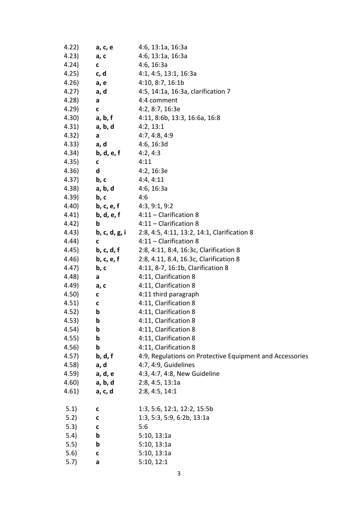| 4.22)  | a, c, e                           | 4:6, 13:1a, 16:3a                                        |
|--------|-----------------------------------|----------------------------------------------------------|
| 4.23)  | a, c                              | 4:6, 13:1a, 16:3a                                        |
| 4.24)  | $\mathbf c$                       | 4:6, 16:3a                                               |
| 4.25)  | c, d                              | 4:1, 4:5, 13:1, 16:3a                                    |
| 4.26)  | a, e                              | 4:10, 8:7, 16:1b                                         |
| 4.27)  | a, d                              | 4:5, 14:1a, 16:3a, clarification 7                       |
| 4.28)  | a                                 | 4:4 comment                                              |
| 4.29)  | C                                 | 4:2, 8:7, 16:3e                                          |
| (4.30) | a, b, f                           | 4:11, 8:6b, 13:3, 16:6a, 16:8                            |
| 4.31)  | a, b, d                           | 4:2, 13:1                                                |
| 4.32)  | a                                 | 4:7, 4:8, 4:9                                            |
| 4.33)  | a, d                              | 4:6, 16:3d                                               |
| 4.34)  | b, d, e, f                        | 4:2, 4:3                                                 |
| 4.35)  | C                                 | 4:11                                                     |
| 4.36)  | d                                 | 4:2, 16:3e                                               |
| 4.37)  | b, c                              | 4:4,4:11                                                 |
| 4.38)  | a, b, d                           | 4:6, 16:3a                                               |
| 4.39)  | b, c                              | 4:6                                                      |
| 4.40)  | <b>b, c, e, f</b> $4:3, 9:1, 9:2$ |                                                          |
| 4.41)  | b, d, e, f                        | 4:11 - Clarification 8                                   |
| 4.42)  | b                                 | $4:11$ - Clarification 8                                 |
| 4.43)  | b, c, d, g, i                     | 2:8, 4:5, 4:11, 13:2, 14:1, Clarification 8              |
| 4.44)  | C                                 | $4:11$ - Clarification 8                                 |
| 4.45)  | b, c, d, f                        | 2:8, 4:11, 8:4, 16:3c, Clarification 8                   |
| 4.46)  | b, c, e, f                        | 2:8, 4.11, 8.4, 16.3c, Clarification 8                   |
| 4.47)  | b, c                              | 4:11, 8-7, 16:1b, Clarification 8                        |
| 4.48)  | a                                 | 4:11, Clarification 8                                    |
| 4.49)  | a, c                              | 4:11, Clarification 8                                    |
| 4.50)  | C                                 | 4:11 third paragraph                                     |
| 4.51)  | C                                 | 4:11, Clarification 8                                    |
| 4.52)  | b                                 | 4:11, Clarification 8                                    |
| 4.53)  | b                                 | 4:11, Clarification 8                                    |
| 4.54)  | b                                 | 4:11, Clarification 8                                    |
| 4.55)  | b                                 | 4:11, Clarification 8                                    |
| 4.56)  | b                                 | 4:11, Clarification 8                                    |
| 4.57)  | b, d, f                           | 4:9, Regulations on Protective Equipment and Accessories |
| 4.58)  | a, d                              | 4:7, 4:9, Guidelines                                     |
| 4.59)  | a, d, e                           | 4:3, 4:7, 4:8, New Guideline                             |
| 4.60)  | a, b, d                           | 2:8, 4:5, 13:1a                                          |
| 4.61)  | a, c, d                           | 2:8, 4:5, 14:1                                           |
| 5.1)   | C                                 | 1:3, 5:6, 12:1, 12:2, 15:5b                              |
| 5.2)   | C                                 | 1:3, 5:3, 5:9, 6:2b, 13:1a                               |
| 5.3)   | C                                 | 5:6                                                      |
| 5.4)   | b                                 | 5:10, 13:1a                                              |
| 5.5)   | b                                 | 5:10, 13:1a                                              |
| 5.6)   | C                                 | 5:10, 13:1a                                              |
| 5.7)   | a                                 | 5:10, 12:1                                               |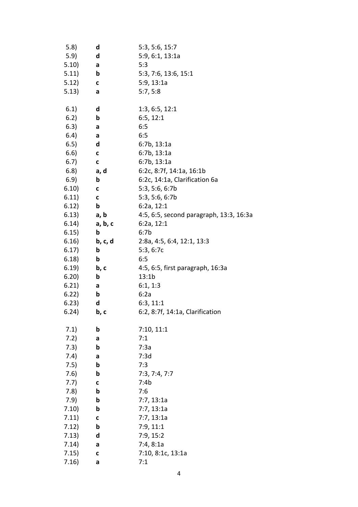| 5.8)  | d            | 5:3, 5:6, 15:7                          |
|-------|--------------|-----------------------------------------|
| 5.9)  | d            | 5:9, 6:1, 13:1a                         |
| 5.10) | a            | 5:3                                     |
| 5.11) | b            | 5:3, 7:6, 13:6, 15:1                    |
| 5.12) | C            | 5:9, 13:1a                              |
| 5.13) | a            | 5:7, 5:8                                |
|       |              |                                         |
| 6.1)  | d            | 1:3, 6:5, 12:1                          |
| 6.2)  | b            | 6:5, 12:1                               |
| 6.3)  | a            | 6:5                                     |
| 6.4)  | a            | 6:5                                     |
| 6.5)  | d            | 6:7b, 13:1a                             |
| 6.6)  | C            | 6:7b, 13:1a                             |
| 6.7)  | $\mathbf{C}$ | 6:7b, 13:1a                             |
| 6.8)  | a, d         | 6:2c, 8:7f, 14:1a, 16:1b                |
| 6.9)  | b            | 6:2c, 14:1a, Clarification 6a           |
| 6.10) | C            | 5:3, 5:6, 6:7b                          |
| 6.11) | C            | 5:3, 5:6, 6:7b                          |
|       | b            | 6:2a, 12:1                              |
| 6.12) | a, b         |                                         |
| 6.13) |              | 4:5, 6:5, second paragraph, 13:3, 16:3a |
| 6.14) | a, b, c      | 6:2a, 12:1                              |
| 6.15) | b            | 6:7b                                    |
| 6.16) | b, c, d      | 2:8a, 4:5, 6:4, 12:1, 13:3              |
| 6.17) | b            | 5:3, 6:7c                               |
| 6.18) | b            | 6:5                                     |
| 6.19) | b, c         | 4:5, 6:5, first paragraph, 16:3a        |
| 6.20) | b            | 13:1b                                   |
| 6.21) | a            | 6:1, 1:3                                |
| 6.22) | b            | 6:2a                                    |
| 6.23) | d            | 6:3, 11:1                               |
| 6.24) | b, c         | 6:2, 8:7f, 14:1a, Clarification         |
|       |              |                                         |
| 7.1)  | b            | 7:10, 11:1                              |
| 7.2)  | a            | 7:1                                     |
| 7.3)  | b            | 7:3a                                    |
| 7.4)  | a            | 7:3d                                    |
| 7.5)  | b            | 7:3                                     |
| 7.6)  | b            | 7:3, 7:4, 7:7                           |
| 7.7)  | $\mathbf c$  | 7:4b                                    |
| 7.8)  | b            | 7:6                                     |
| 7.9)  | b            | 7:7, 13:1a                              |
| 7.10) | b            | 7:7, 13:1a                              |
| 7.11) | C            | 7:7, 13:1a                              |
| 7.12) | b            | 7:9, 11:1                               |
| 7.13) | d            | 7:9, 15:2                               |
| 7.14) | a            | 7:4,8:1a                                |
| 7.15) | C            | 7:10, 8:1c, 13:1a                       |
| 7.16) | a            | 7:1                                     |
|       |              |                                         |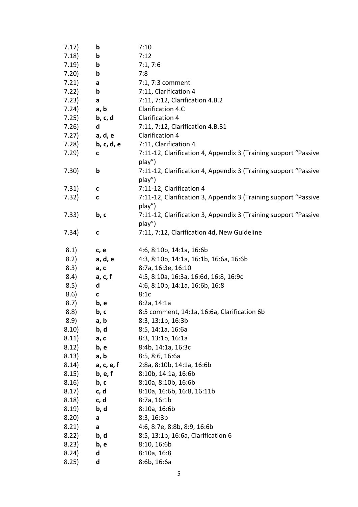| 7.17) | b            | 7:10                                                            |
|-------|--------------|-----------------------------------------------------------------|
| 7.18) | b            | 7:12                                                            |
| 7.19) | b            | 7:1, 7:6                                                        |
| 7.20) | b            | 7:8                                                             |
| 7.21) | a            | 7:1, 7:3 comment                                                |
| 7.22) | b            | 7:11, Clarification 4                                           |
| 7.23) | a            | 7:11, 7:12, Clarification 4.B.2                                 |
| 7.24) | a, b         | Clarification 4.C                                               |
| 7.25) | b, c, d      | Clarification 4                                                 |
| 7.26) | d            | 7:11, 7:12, Clarification 4.B.B1                                |
| 7.27) | a, d, e      | <b>Clarification 4</b>                                          |
| 7.28) | b, c, d, e   | 7:11, Clarification 4                                           |
| 7.29) | C            | 7:11-12, Clarification 4, Appendix 3 (Training support "Passive |
|       |              | play")                                                          |
| 7.30) | b            | 7:11-12, Clarification 4, Appendix 3 (Training support "Passive |
|       |              | play")                                                          |
| 7.31) | C            | 7:11-12, Clarification 4                                        |
| 7.32) | $\mathbf{C}$ | 7:11-12, Clarification 3, Appendix 3 (Training support "Passive |
|       |              | play")                                                          |
| 7.33) | b, c         | 7:11-12, Clarification 3, Appendix 3 (Training support "Passive |
|       |              | play")                                                          |
| 7.34) | C            | 7:11, 7:12, Clarification 4d, New Guideline                     |
|       |              |                                                                 |
| 8.1)  | c, e         | 4:6, 8:10b, 14:1a, 16:6b                                        |
| 8.2)  | a, d, e      | 4:3, 8:10b, 14:1a, 16:1b, 16:6a, 16:6b                          |
| 8.3)  | a, c         | 8:7a, 16:3e, 16:10                                              |
| 8.4)  | a, c, f      | 4:5, 8:10a, 16:3a, 16:6d, 16:8, 16:9c                           |
| 8.5)  | d            | 4:6, 8:10b, 14:1a, 16:6b, 16:8                                  |
| 8.6)  | C            | 8:1c                                                            |
| 8.7)  | b, e         | 8:2a, 14:1a                                                     |
| 8.8)  | b, c         | 8:5 comment, 14:1a, 16:6a, Clarification 6b                     |
| 8.9)  | a, b         | 8:3, 13:1b, 16:3b                                               |
| 8.10) | b, d         | 8:5, 14:1a, 16:6a                                               |
| 8.11) | a, c         | 8:3, 13:1b, 16:1a                                               |
| 8.12) | b, e         | 8:4b, 14:1a, 16:3c                                              |
| 8.13) | a, b         | 8:5, 8:6, 16:6a                                                 |
| 8.14) | a, c, e, f   | 2:8a, 8:10b, 14:1a, 16:6b                                       |
| 8.15) | b, e, f      | 8:10b, 14:1a, 16:6b                                             |
| 8.16) | b, c         | 8:10a, 8:10b, 16:6b                                             |
| 8.17) | c, d         | 8:10a, 16:6b, 16:8, 16:11b                                      |
| 8.18) | c, d         | 8:7a, 16:1b                                                     |
| 8.19) | b, d         | 8:10a, 16:6b                                                    |
| 8.20) | a            | 8:3, 16:3b                                                      |
| 8.21) | a            | 4:6, 8:7e, 8:8b, 8:9, 16:6b                                     |
| 8.22) | b, d         | 8:5, 13:1b, 16:6a, Clarification 6                              |
| 8.23) | b, e         | 8:10, 16:6b                                                     |
| 8.24) | d            | 8:10a, 16:8                                                     |
| 8.25) | d            | 8:6b, 16:6a                                                     |
|       |              |                                                                 |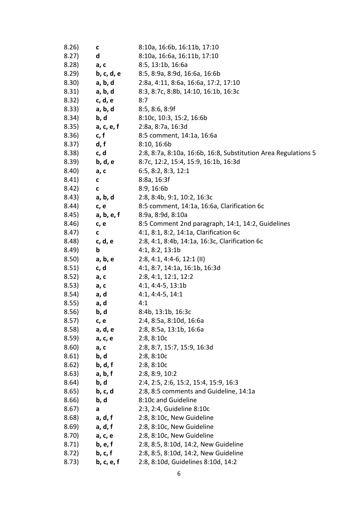| 8.26)                                           | C           | 8:10a, 16:6b, 16:11b, 17:10                                    |
|-------------------------------------------------|-------------|----------------------------------------------------------------|
| 8.27)                                           | d           | 8:10a, 16:6a, 16:11b, 17:10                                    |
| 8.28)                                           | a, c        | 8:5, 13:1b, 16:6a                                              |
| 8.29)                                           | b, c, d, e  | 8:5, 8:9a, 8:9d, 16:6a, 16:6b                                  |
| 8.30)                                           | a, b, d     | 2:8a, 4:11, 8:6a, 16:6a, 17:2, 17:10                           |
| 8.31)                                           | a, b, d     | 8:3, 8:7c, 8:8b, 14:10, 16:1b, 16:3c                           |
| 8.32) c, d, e                                   |             | 8:7                                                            |
| 8.33)                                           | a, b, d     | 8:5, 8:6, 8:9f                                                 |
| 8.34)                                           | b, d        | 8:10c, 10:3, 15:2, 16:6b                                       |
| 8.35)                                           | a, c, e, f  | 2:8a, 8:7a, 16:3d                                              |
| 8.36)                                           | c, f        | 8:5 comment, 14:1a, 16:6a                                      |
| 8.37)                                           | d, f        | 8:10, 16:6b                                                    |
| 8.38)                                           | c, d        | 2:8, 8:7a, 8:10a, 16:6b, 16:8, Substitution Area Regulations 5 |
| 8.39)                                           | b, d, e     | 8:7c, 12:2, 15:4, 15:9, 16:1b, 16:3d                           |
| 8.40)                                           | a, c        | 6:5, 8:2, 8:3, 12:1                                            |
| 8.41)                                           | $\mathbf c$ | 8:8a, 16:3f                                                    |
| 8.42)                                           | $\mathbf c$ | 8:9, 16:6b                                                     |
| 8.43)                                           | a, b, d     | 2:8, 8:4b, 9:1, 10:2, 16:3c                                    |
| 8.44)                                           | c, e        | 8:5 comment, 14:1a, 16:6a, Clarification 6c                    |
| 8.45)                                           | a, b, e, f  | 8:9a, 8:9d, 8:10a                                              |
| 8.46)                                           | c, e        | 8:5 Comment 2nd paragraph, 14:1, 14:2, Guidelines              |
| 8.47)                                           | C           | 4:1, 8:1, 8:2, 14:1a, Clarification 6c                         |
| 8.48)                                           | c, d, e     | 2:8, 4:1, 8:4b, 14:1a, 16:3c, Clarification 6c                 |
| 8.49)                                           | $\mathbf b$ | 4:1, 8:2, 13:1b                                                |
| 8.50)                                           | a, b, e     | $2:8, 4:1, 4:4-6, 12:1$ (II)                                   |
| 8.51)                                           | c, d        | 4:1, 8:7, 14:1a, 16:1b, 16:3d                                  |
| 8.52)                                           | a, c        | 2:8, 4:1, 12:1, 12:2                                           |
| 8.53)                                           | a, c        | $4:1, 4:4-5, 13:1b$                                            |
| 8.54)                                           | a, d        | $4:1, 4:4-5, 14:1$                                             |
| 8.55)                                           | a, d        | 4:1                                                            |
| 8.56)                                           | b, d        | 8:4b, 13:1b, 16:3c                                             |
| 8.57)                                           | c, e        | 2:4, 8:5a, 8:10d, 16:6a                                        |
| 8.58)                                           | a, d, e     | 2:8, 8:5a, 13:1b, 16:6a                                        |
| 8.59)                                           | a, c, e     | 2:8, 8:10c                                                     |
| 8.60)                                           | a, c        | 2:8, 8:7, 15:7, 15:9, 16:3d                                    |
| $8.61$ b, d                                     |             | 2:8, 8:10c                                                     |
| 8.62)                                           | b, d, f     | 2:8, 8:10c                                                     |
| 8.63)                                           | a, b, f     | 2:8, 8:9, 10:2                                                 |
| 8.64)                                           | b, d        | 2:4, 2:5, 2:6, 15:2, 15:4, 15:9, 16:3                          |
| 8.65)                                           | b, c, d     | 2:8, 8:5 comments and Guideline, 14:1a                         |
| 8.66)                                           | b, d        | 8:10c and Guideline                                            |
| 8.67)                                           | a           | 2:3, 2:4, Guideline 8:10c                                      |
| 8.68)                                           | a, d, f     | 2:8, 8:10c, New Guideline                                      |
| 8.69)                                           | a, d, f     | 2:8, 8:10c, New Guideline                                      |
| 8.70)                                           | a, c, e     | 2:8, 8:10c, New Guideline                                      |
| 8.71)                                           | b, e, f     | 2:8, 8:5, 8:10d, 14:2, New Guideline                           |
| 8.72) b, c, f                                   |             | 2:8, 8:5, 8:10d, 14:2, New Guideline                           |
| 8.73) <b>b</b> , <b>c</b> , <b>e</b> , <b>f</b> |             | 2:8, 8:10d, Guidelines 8:10d, 14:2                             |
|                                                 |             |                                                                |
|                                                 |             | 6                                                              |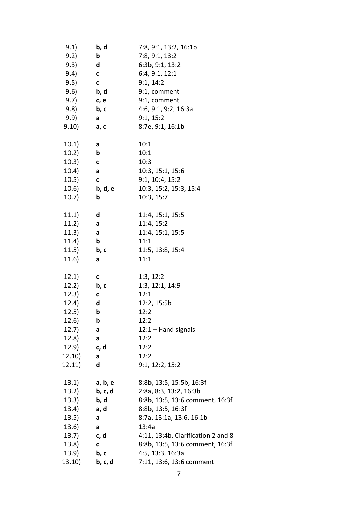| 9.1)          | b, d         | 7:8, 9:1, 13:2, 16:1b              |
|---------------|--------------|------------------------------------|
| 9.2)          | b            | 7:8, 9:1, 13:2                     |
| 9.3)          | d            | 6:3b, 9:1, 13:2                    |
| 9.4)          | $\mathbf c$  | 6:4, 9:1, 12:1                     |
| 9.5)          | $\mathbf{C}$ | 9:1, 14:2                          |
| 9.6)          | b, d         | 9:1, comment                       |
| 9.7) c, e     |              | 9:1, comment                       |
| 9.8)          | b, c         | 4:6, 9:1, 9:2, 16:3a               |
| 9.9)          | a            | 9:1, 15:2                          |
| $(9.10)$ a, c |              | 8:7e, 9:1, 16:1b                   |
| 10.1)         | a            | 10:1                               |
| 10.2)         | b            | 10:1                               |
| (10.3)        | $\mathbf{C}$ | 10:3                               |
| 10.4)         | a            | 10:3, 15:1, 15:6                   |
| (10.5)        | $\mathbf{C}$ | 9:1, 10:4, 15:2                    |
| 10.6)         | b, d, e      | 10:3, 15:2, 15:3, 15:4             |
|               |              |                                    |
| 10.7)         | b            | 10:3, 15:7                         |
| (11.1)        | d            | 11:4, 15:1, 15:5                   |
| (11.2)        | a            | 11:4, 15:2                         |
| 11.3)         | a            | 11:4, 15:1, 15:5                   |
| (11.4)        | b            | 11:1                               |
| 11.5)         | b, c         | 11:5, 13:8, 15:4                   |
| 11.6)         | a            | 11:1                               |
| 12.1)         | c            | 1:3, 12:2                          |
| 12.2)         | b, c         | 1:3, 12:1, 14:9                    |
| (12.3)        | C            | 12:1                               |
| 12.4)         | d            | 12:2, 15:5b                        |
| 12.5)         | b            | 12:2                               |
| 12.6)         | b            | 12:2                               |
| 12.7)         | a            | $12:1 -$ Hand signals              |
| 12.8)         |              | 12:2                               |
| 12.9)         | a<br>c, d    | 12:2                               |
| 12.10)        |              | 12:2                               |
|               | a<br>d       |                                    |
| 12.11)        |              | 9:1, 12:2, 15:2                    |
| 13.1)         | a, b, e      | 8:8b, 13:5, 15:5b, 16:3f           |
| 13.2)         | b, c, d      | 2:8a, 8:3, 13:2, 16:3b             |
| 13.3)         | b, d         | 8:8b, 13:5, 13:6 comment, 16:3f    |
| 13.4)         | a, d         | 8:8b, 13:5, 16:3f                  |
| 13.5)         | a            | 8:7a, 13:1a, 13:6, 16:1b           |
| 13.6)         | a            | 13:4a                              |
| $(13.7)$ c, d |              | 4:11, 13:4b, Clarification 2 and 8 |
| (13.8)        | C            | 8:8b, 13:5, 13:6 comment, 16:3f    |
| 13.9)         | b, c         | 4:5, 13:3, 16:3a                   |
| 13.10)        | b, c, d      | 7:11, 13:6, 13:6 comment           |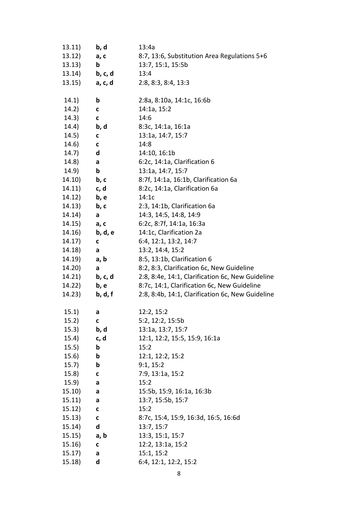| 13.11) | b, d         | 13:4a                                            |
|--------|--------------|--------------------------------------------------|
| 13.12) | a, c         | 8:7, 13:6, Substitution Area Regulations 5+6     |
| 13.13) | b            | 13:7, 15:1, 15:5b                                |
| 13.14) | b, c, d      | 13:4                                             |
| 13.15) | a, c, d      | 2:8, 8:3, 8:4, 13:3                              |
|        |              |                                                  |
| (14.1) | b            | 2:8a, 8:10a, 14:1c, 16:6b                        |
| 14.2)  | C            | 14:1a, 15:2                                      |
| (14.3) | $\mathbf{C}$ | 14:6                                             |
| 14.4)  | b, d         | 8:3c, 14:1a, 16:1a                               |
| 14.5)  | $\mathbf{C}$ | 13:1a, 14:7, 15:7                                |
| (14.6) | $\mathbf{C}$ | 14:8                                             |
| 14.7)  | d            | 14:10, 16:1b                                     |
| (14.8) | a            | 6:2c, 14:1a, Clarification 6                     |
| (14.9) | b            | 13:1a, 14:7, 15:7                                |
| 14.10) | b, c         | 8:7f, 14:1a, 16:1b, Clarification 6a             |
| 14.11) | c, d         | 8:2c, 14:1a, Clarification 6a                    |
| 14.12) | b, e         | 14:1c                                            |
| 14.13) | b, c         | 2:3, 14:1b, Clarification 6a                     |
| 14.14) | a            | 14:3, 14:5, 14:8, 14:9                           |
| 14.15) | a, c         | 6:2c, 8:7f, 14:1a, 16:3a                         |
| 14.16) | b, d, e      | 14:1c, Clarification 2a                          |
| 14.17) | C            | 6:4, 12:1, 13:2, 14:7                            |
| 14.18) | a            | 13:2, 14:4, 15:2                                 |
| 14.19) | a, b         | 8:5, 13:1b, Clarification 6                      |
| 14.20) | a            | 8:2, 8:3, Clarification 6c, New Guideline        |
| 14.21) | b, c, d      | 2:8, 8:4e, 14:1, Clarification 6c, New Guideline |
| 14.22) | b, e         | 8:7c, 14:1, Clarification 6c, New Guideline      |
| 14.23) | b, d, f      | 2:8, 8:4b, 14:1, Clarification 6c, New Guideline |
|        |              |                                                  |
| (15.1) | а            | 12:2, 15:2                                       |
| (15.2) | C            | 5:2, 12:2, 15:5b                                 |
| (15.3) | b, d         | 13:1a, 13:7, 15:7                                |
| 15.4)  | c, d         | 12:1, 12:2, 15:5, 15:9, 16:1a                    |
| (15.5) | b            | 15:2                                             |
| 15.6)  | b            | 12:1, 12:2, 15:2                                 |
| (15.7) | b            | 9:1, 15:2                                        |
| 15.8)  | $\mathbf c$  | 7:9, 13:1a, 15:2                                 |
| (15.9) | a            | 15:2                                             |
| 15.10) | a            | 15:5b, 15:9, 16:1a, 16:3b                        |
| 15.11) | a            | 13:7, 15:5b, 15:7                                |
| 15.12) | C            | 15:2                                             |
| 15.13) | $\mathbf{C}$ | 8:7c, 15:4, 15:9, 16:3d, 16:5, 16:6d             |
| 15.14) | d            | 13:7, 15:7                                       |
| 15.15) | a, b         | 13:3, 15:1, 15:7                                 |
| 15.16) | $\mathbf{C}$ | 12:2, 13:1a, 15:2                                |
| 15.17) | a            | 15:1, 15:2                                       |
| 15.18) | d            | 6:4, 12:1, 12:2, 15:2                            |
|        |              |                                                  |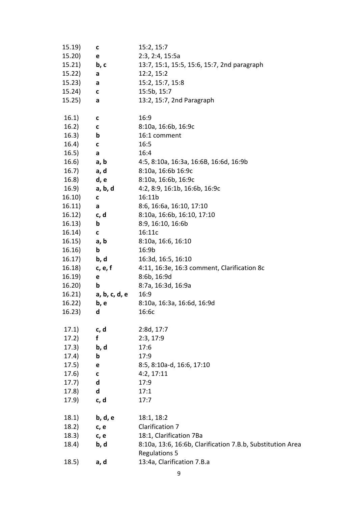| 15.19)        | с                        | 15:2, 15:7                                                 |
|---------------|--------------------------|------------------------------------------------------------|
| 15.20)        | e                        | 2:3, 2:4, 15:5a                                            |
| 15.21)        | b, c                     | 13:7, 15:1, 15:5, 15:6, 15:7, 2nd paragraph                |
| 15.22)        | a                        | 12:2, 15:2                                                 |
| 15.23)        | a                        | 15:2, 15:7, 15:8                                           |
| 15.24)        | C                        | 15:5b, 15:7                                                |
| 15.25)        | a                        | 13:2, 15:7, 2nd Paragraph                                  |
|               |                          |                                                            |
| 16.1)         | C                        | 16:9                                                       |
| 16.2)         | $\mathbf{C}$             | 8:10a, 16:6b, 16:9c                                        |
| 16.3)         | $\mathbf b$              | 16:1 comment                                               |
| 16.4)         | C                        | 16:5                                                       |
| 16.5)         | a                        | 16:4                                                       |
| $(16.6)$ a, b |                          | 4:5, 8:10a, 16:3a, 16:6B, 16:6d, 16:9b                     |
| 16.7)         | a, d                     | 8:10a, 16:6b 16:9c                                         |
| 16.8) d, e    |                          | 8:10a, 16:6b, 16:9c                                        |
| 16.9)         | a, b, d                  | 4:2, 8:9, 16:1b, 16:6b, 16:9c                              |
| 16.10)        | C                        | 16:11b                                                     |
| 16.11)        | a                        | 8:6, 16:6a, 16:10, 17:10                                   |
| 16.12)        | $\mathsf{c}, \mathsf{d}$ | 8:10a, 16:6b, 16:10, 17:10                                 |
| 16.13)        | b                        | 8:9, 16:10, 16:6b                                          |
| 16.14)        | C                        | 16:11c                                                     |
| 16.15)        | a, b                     | 8:10a, 16:6, 16:10                                         |
| 16.16)        | b                        | 16:9 <sub>b</sub>                                          |
| 16.17)        | b, d                     | 16:3d, 16:5, 16:10                                         |
| 16.18)        | c, e, f                  | 4:11, 16:3e, 16:3 comment, Clarification 8c                |
| 16.19)        | e                        | 8:6b, 16:9d                                                |
| 16.20)        | b                        | 8:7a, 16:3d, 16:9a                                         |
| 16.21)        | a, b, c, d, e            | 16:9                                                       |
| 16.22)        | b, e                     | 8:10a, 16:3a, 16:6d, 16:9d                                 |
| 16.23)        | d                        | 16:6c                                                      |
|               |                          |                                                            |
| 17.1)         | c, d                     | 2:8d, 17:7                                                 |
| 17.2)         | f                        | 2:3, 17:9                                                  |
| (17.3)        | b, d                     | 17:6                                                       |
| 17.4)         | $\mathbf b$              | 17:9                                                       |
| 17.5)         | e                        | 8:5, 8:10a-d, 16:6, 17:10                                  |
| 17.6)         | C                        | 4:2, 17:11                                                 |
| 17.7)         | d                        | 17:9                                                       |
| (17.8)        | d                        | 17:1                                                       |
| 17.9)         | c, d                     | 17:7                                                       |
|               |                          |                                                            |
| 18.1)         | b, d, e                  | 18:1, 18:2                                                 |
| 18.2)         | c, e                     | Clarification 7                                            |
| 18.3)         | c, e                     | 18:1, Clarification 7Ba                                    |
| 18.4)         | b, d                     | 8:10a, 13:6, 16:6b, Clarification 7.B.b, Substitution Area |
|               |                          | <b>Regulations 5</b>                                       |
|               | a, d                     | 13:4a, Clarification 7.B.a                                 |
| 18.5)         |                          |                                                            |